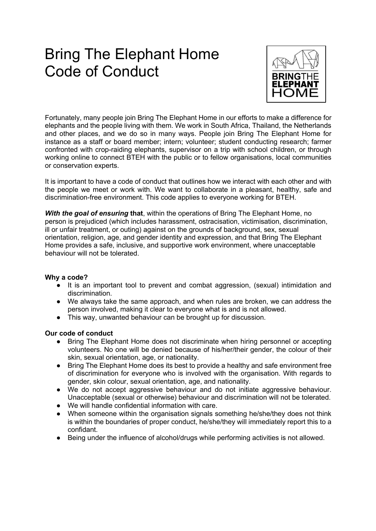# Bring The Elephant Home Code of Conduct



Fortunately, many people join Bring The Elephant Home in our efforts to make a difference for elephants and the people living with them. We work in South Africa, Thailand, the Netherlands and other places, and we do so in many ways. People join Bring The Elephant Home for instance as a staff or board member; intern; volunteer; student conducting research; farmer confronted with crop-raiding elephants, supervisor on a trip with school children, or through working online to connect BTEH with the public or to fellow organisations, local communities or conservation experts.

It is important to have a code of conduct that outlines how we interact with each other and with the people we meet or work with. We want to collaborate in a pleasant, healthy, safe and discrimination-free environment. This code applies to everyone working for BTEH.

*With the goal of ensuring* **that**, within the operations of Bring The Elephant Home, no person is prejudiced (which includes harassment, ostracisation, victimisation, discrimination, ill or unfair treatment, or outing) against on the grounds of background, sex, sexual orientation, religion, age, and gender identity and expression, and that Bring The Elephant Home provides a safe, inclusive, and supportive work environment, where unacceptable behaviour will not be tolerated.

#### **Why a code?**

- It is an important tool to prevent and combat aggression, (sexual) intimidation and discrimination.
- We always take the same approach, and when rules are broken, we can address the person involved, making it clear to everyone what is and is not allowed.
- This way, unwanted behaviour can be brought up for discussion.

#### **Our code of conduct**

- Bring The Elephant Home does not discriminate when hiring personnel or accepting volunteers. No one will be denied because of his/her/their gender, the colour of their skin, sexual orientation, age, or nationality.
- Bring The Elephant Home does its best to provide a healthy and safe environment free of discrimination for everyone who is involved with the organisation. With regards to gender, skin colour, sexual orientation, age, and nationality.
- We do not accept aggressive behaviour and do not initiate aggressive behaviour. Unacceptable (sexual or otherwise) behaviour and discrimination will not be tolerated.
- We will handle confidential information with care.
- When someone within the organisation signals something he/she/they does not think is within the boundaries of proper conduct, he/she/they will immediately report this to a confidant.
- Being under the influence of alcohol/drugs while performing activities is not allowed.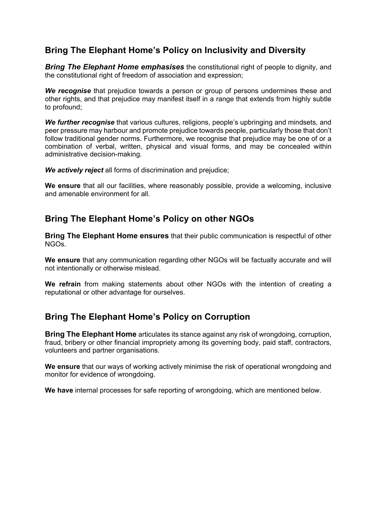## **Bring The Elephant Home's Policy on Inclusivity and Diversity**

*Bring The Elephant Home emphasises* the constitutional right of people to dignity, and the constitutional right of freedom of association and expression;

*We recognise* that prejudice towards a person or group of persons undermines these and other rights, and that prejudice may manifest itself in a range that extends from highly subtle to profound;

*We further recognise* that various cultures, religions, people's upbringing and mindsets, and peer pressure may harbour and promote prejudice towards people, particularly those that don't follow traditional gender norms. Furthermore, we recognise that prejudice may be one of or a combination of verbal, written, physical and visual forms, and may be concealed within administrative decision-making.

*We actively reject* all forms of discrimination and prejudice;

**We ensure** that all our facilities, where reasonably possible, provide a welcoming, inclusive and amenable environment for all.

#### **Bring The Elephant Home's Policy on other NGOs**

**Bring The Elephant Home ensures** that their public communication is respectful of other NGOs.

**We ensure** that any communication regarding other NGOs will be factually accurate and will not intentionally or otherwise mislead.

**We refrain** from making statements about other NGOs with the intention of creating a reputational or other advantage for ourselves.

## **Bring The Elephant Home's Policy on Corruption**

**Bring The Elephant Home** articulates its stance against any risk of wrongdoing, corruption, fraud, bribery or other financial impropriety among its governing body, paid staff, contractors, volunteers and partner organisations.

**We ensure** that our ways of working actively minimise the risk of operational wrongdoing and monitor for evidence of wrongdoing.

**We have** internal processes for safe reporting of wrongdoing, which are mentioned below.